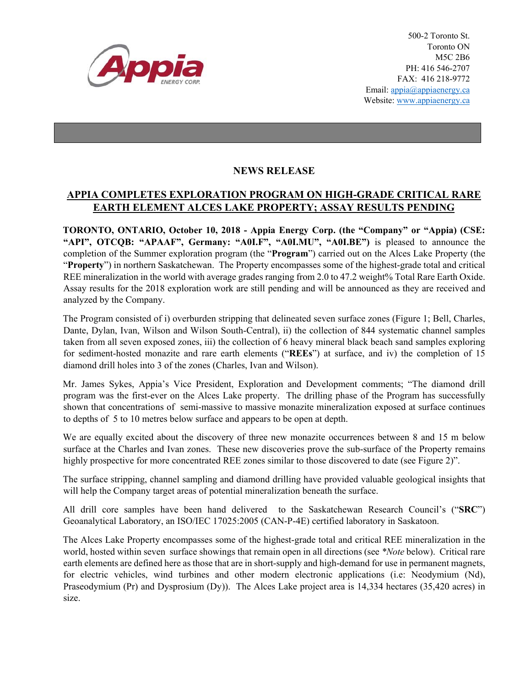

500-2 Toronto St. Toronto ON M5C 2B6 PH: 416 546-2707 FAX: 416 218-9772 Email: appia@appiaenergy.ca Website: www.appiaenergy.ca

## **NEWS RELEASE**

## **APPIA COMPLETES EXPLORATION PROGRAM ON HIGH-GRADE CRITICAL RARE EARTH ELEMENT ALCES LAKE PROPERTY; ASSAY RESULTS PENDING**

**TORONTO, ONTARIO, October 10, 2018 - Appia Energy Corp. (the "Company" or "Appia) (CSE: "API", OTCQB: "APAAF", Germany: "A0I.F", "A0I.MU", "A0I.BE")** is pleased to announce the completion of the Summer exploration program (the "**Program**") carried out on the Alces Lake Property (the "**Property**") in northern Saskatchewan. The Property encompasses some of the highest-grade total and critical REE mineralization in the world with average grades ranging from 2.0 to 47.2 weight% Total Rare Earth Oxide. Assay results for the 2018 exploration work are still pending and will be announced as they are received and analyzed by the Company.

The Program consisted of i) overburden stripping that delineated seven surface zones (Figure 1; Bell, Charles, Dante, Dylan, Ivan, Wilson and Wilson South-Central), ii) the collection of 844 systematic channel samples taken from all seven exposed zones, iii) the collection of 6 heavy mineral black beach sand samples exploring for sediment-hosted monazite and rare earth elements ("**REEs**") at surface, and iv) the completion of 15 diamond drill holes into 3 of the zones (Charles, Ivan and Wilson).

Mr. James Sykes, Appia's Vice President, Exploration and Development comments; "The diamond drill program was the first-ever on the Alces Lake property. The drilling phase of the Program has successfully shown that concentrations of semi-massive to massive monazite mineralization exposed at surface continues to depths of 5 to 10 metres below surface and appears to be open at depth.

We are equally excited about the discovery of three new monazite occurrences between 8 and 15 m below surface at the Charles and Ivan zones. These new discoveries prove the sub-surface of the Property remains highly prospective for more concentrated REE zones similar to those discovered to date (see Figure 2)".

The surface stripping, channel sampling and diamond drilling have provided valuable geological insights that will help the Company target areas of potential mineralization beneath the surface.

All drill core samples have been hand delivered to the Saskatchewan Research Council's ("**SRC**") Geoanalytical Laboratory, an ISO/IEC 17025:2005 (CAN-P-4E) certified laboratory in Saskatoon.

The Alces Lake Property encompasses some of the highest-grade total and critical REE mineralization in the world, hosted within seven surface showings that remain open in all directions (see *\*Note* below). Critical rare earth elements are defined here as those that are in short-supply and high-demand for use in permanent magnets, for electric vehicles, wind turbines and other modern electronic applications (i.e: Neodymium (Nd), Praseodymium (Pr) and Dysprosium (Dy)). The Alces Lake project area is 14,334 hectares (35,420 acres) in size.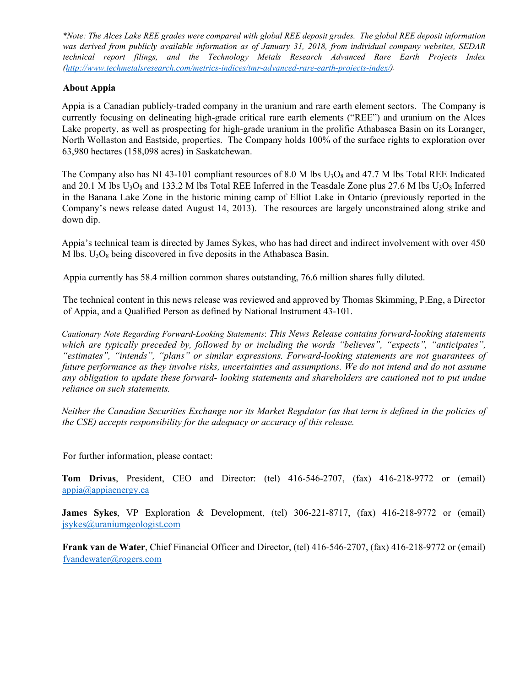*\*Note: The Alces Lake REE grades were compared with global REE deposit grades. The global REE deposit information was derived from publicly available information as of January 31, 2018, from individual company websites, SEDAR technical report filings, and the Technology Metals Research Advanced Rare Earth Projects Index [\(http://www.techmetalsresearch.com/metrics-indices/tmr-advanced-rare-earth-projects-index/\)](http://www.techmetalsresearch.com/metrics-indices/tmr-advanced-rare-earth-projects-index/).*

## **About Appia**

Appia is a Canadian publicly-traded company in the uranium and rare earth element sectors. The Company is currently focusing on delineating high-grade critical rare earth elements ("REE") and uranium on the Alces Lake property, as well as prospecting for high-grade uranium in the prolific Athabasca Basin on its Loranger, North Wollaston and Eastside, properties. The Company holds 100% of the surface rights to exploration over 63,980 hectares (158,098 acres) in Saskatchewan.

The Company also has NI 43-101 compliant resources of 8.0 M lbs  $U_3O_8$  and 47.7 M lbs Total REE Indicated and 20.1 M lbs  $U_3O_8$  and 133.2 M lbs Total REE Inferred in the Teasdale Zone plus 27.6 M lbs  $U_3O_8$  Inferred in the Banana Lake Zone in the historic mining camp of Elliot Lake in Ontario (previously reported in the Company's news release dated August 14, 2013). The resources are largely unconstrained along strike and down dip.

Appia's technical team is directed by James Sykes, who has had direct and indirect involvement with over 450 M lbs.  $U_3O_8$  being discovered in five deposits in the Athabasca Basin.

Appia currently has 58.4 million common shares outstanding, 76.6 million shares fully diluted.

The technical content in this news release was reviewed and approved by Thomas Skimming, P.Eng, a Director of Appia, and a Qualified Person as defined by National Instrument 43-101.

*Cautionary Note Regarding Forward-Looking Statements*: *This News Release contains forward-looking statements which are typically preceded by, followed by or including the words "believes", "expects", "anticipates", "estimates", "intends", "plans" or similar expressions. Forward-looking statements are not guarantees of future performance as they involve risks, uncertainties and assumptions. We do not intend and do not assume any obligation to update these forward- looking statements and shareholders are cautioned not to put undue reliance on such statements.* 

*Neither the Canadian Securities Exchange nor its Market Regulator (as that term is defined in the policies of the CSE) accepts responsibility for the adequacy or accuracy of this release.* 

For further information, please contact:

**Tom Drivas**, President, CEO and Director: (tel) 416-546-2707, (fax) 416-218-9772 or (email) [appia@appiaenergy.ca](mailto:appia@appiaenergy.ca)

**James Sykes**, VP Exploration & Development, (tel) 306-221-8717, (fax) 416-218-9772 or (email) [jsykes@uraniumgeologist.com](mailto:jsykes@uraniumgeologist.com)

**Frank van de Water**, Chief Financial Officer and Director, (tel) 416-546-2707, (fax) 416-218-9772 or (email) [fvandewater@rogers.com](mailto:fvandewater@rogers.com)